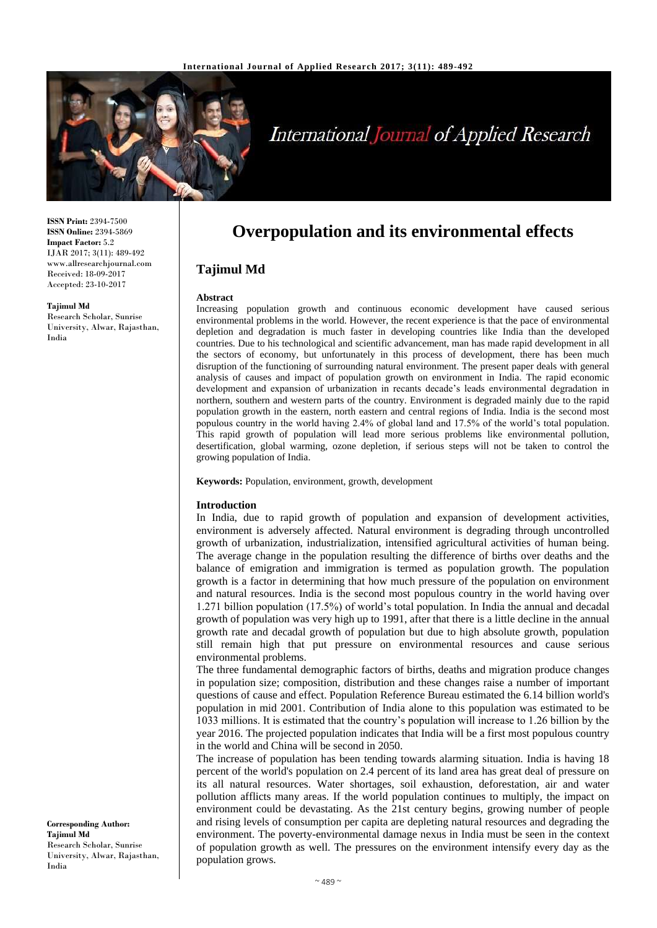

# International Journal of Applied Research

**ISSN Print:** 2394-7500 **ISSN Online:** 2394-5869 **Impact Factor:** 5.2 IJAR 2017; 3(11): 489-492 www.allresearchjournal.com Received: 18-09-2017 Accepted: 23-10-2017

#### **Tajimul Md**

Research Scholar, Sunrise University, Alwar, Rajasthan, India

**Overpopulation and its environmental effects**

# **Tajimul Md**

#### **Abstract**

Increasing population growth and continuous economic development have caused serious environmental problems in the world. However, the recent experience is that the pace of environmental depletion and degradation is much faster in developing countries like India than the developed countries. Due to his technological and scientific advancement, man has made rapid development in all the sectors of economy, but unfortunately in this process of development, there has been much disruption of the functioning of surrounding natural environment. The present paper deals with general analysis of causes and impact of population growth on environment in India. The rapid economic development and expansion of urbanization in recants decade's leads environmental degradation in northern, southern and western parts of the country. Environment is degraded mainly due to the rapid population growth in the eastern, north eastern and central regions of India. India is the second most populous country in the world having 2.4% of global land and 17.5% of the world's total population. This rapid growth of population will lead more serious problems like environmental pollution, desertification, global warming, ozone depletion, if serious steps will not be taken to control the growing population of India.

**Keywords:** Population, environment, growth, development

#### **Introduction**

In India, due to rapid growth of population and expansion of development activities, environment is adversely affected. Natural environment is degrading through uncontrolled growth of urbanization, industrialization, intensified agricultural activities of human being. The average change in the population resulting the difference of births over deaths and the balance of emigration and immigration is termed as population growth. The population growth is a factor in determining that how much pressure of the population on environment and natural resources. India is the second most populous country in the world having over 1.271 billion population (17.5%) of world's total population. In India the annual and decadal growth of population was very high up to 1991, after that there is a little decline in the annual growth rate and decadal growth of population but due to high absolute growth, population still remain high that put pressure on environmental resources and cause serious environmental problems.

The three fundamental demographic factors of births, deaths and migration produce changes in population size; composition, distribution and these changes raise a number of important questions of cause and effect. Population Reference Bureau estimated the 6.14 billion world's population in mid 2001. Contribution of India alone to this population was estimated to be 1033 millions. It is estimated that the country's population will increase to 1.26 billion by the year 2016. The projected population indicates that India will be a first most populous country in the world and China will be second in 2050.

The increase of population has been tending towards alarming situation. India is having 18 percent of the world's population on 2.4 percent of its land area has great deal of pressure on its all natural resources. Water shortages, soil exhaustion, deforestation, air and water pollution afflicts many areas. If the world population continues to multiply, the impact on environment could be devastating. As the 21st century begins, growing number of people and rising levels of consumption per capita are depleting natural resources and degrading the environment. The poverty-environmental damage nexus in India must be seen in the context of population growth as well. The pressures on the environment intensify every day as the population grows.

**Corresponding Author: Tajimul Md** Research Scholar, Sunrise University, Alwar, Rajasthan, India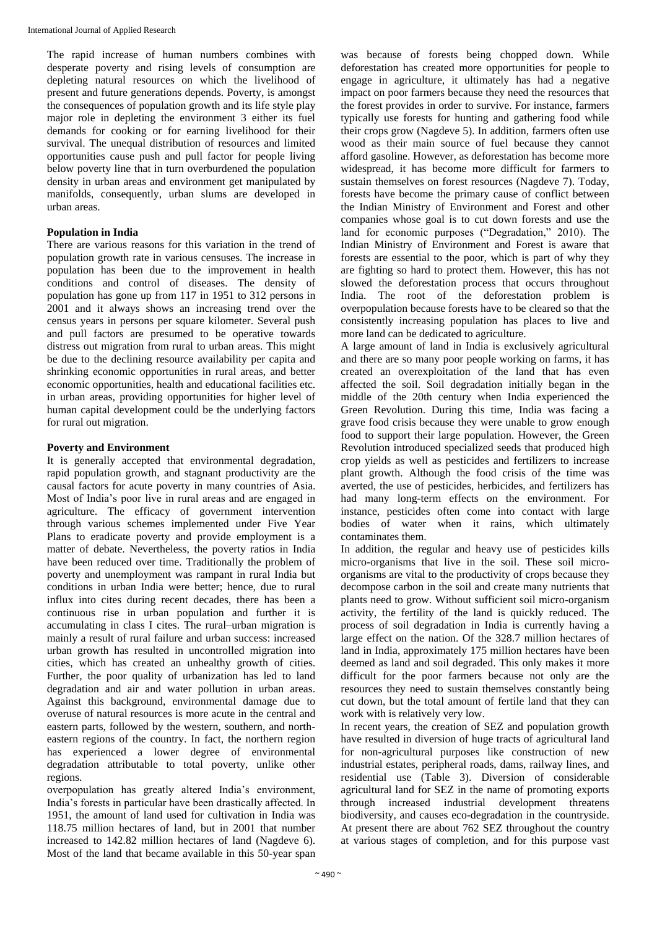The rapid increase of human numbers combines with desperate poverty and rising levels of consumption are depleting natural resources on which the livelihood of present and future generations depends. Poverty, is amongst the consequences of population growth and its life style play major role in depleting the environment 3 either its fuel demands for cooking or for earning livelihood for their survival. The unequal distribution of resources and limited opportunities cause push and pull factor for people living below poverty line that in turn overburdened the population density in urban areas and environment get manipulated by manifolds, consequently, urban slums are developed in urban areas.

### **Population in India**

There are various reasons for this variation in the trend of population growth rate in various censuses. The increase in population has been due to the improvement in health conditions and control of diseases. The density of population has gone up from 117 in 1951 to 312 persons in 2001 and it always shows an increasing trend over the census years in persons per square kilometer. Several push and pull factors are presumed to be operative towards distress out migration from rural to urban areas. This might be due to the declining resource availability per capita and shrinking economic opportunities in rural areas, and better economic opportunities, health and educational facilities etc. in urban areas, providing opportunities for higher level of human capital development could be the underlying factors for rural out migration.

### **Poverty and Environment**

It is generally accepted that environmental degradation, rapid population growth, and stagnant productivity are the causal factors for acute poverty in many countries of Asia. Most of India's poor live in rural areas and are engaged in agriculture. The efficacy of government intervention through various schemes implemented under Five Year Plans to eradicate poverty and provide employment is a matter of debate. Nevertheless, the poverty ratios in India have been reduced over time. Traditionally the problem of poverty and unemployment was rampant in rural India but conditions in urban India were better; hence, due to rural influx into cites during recent decades, there has been a continuous rise in urban population and further it is accumulating in class I cites. The rural–urban migration is mainly a result of rural failure and urban success: increased urban growth has resulted in uncontrolled migration into cities, which has created an unhealthy growth of cities. Further, the poor quality of urbanization has led to land degradation and air and water pollution in urban areas. Against this background, environmental damage due to overuse of natural resources is more acute in the central and eastern parts, followed by the western, southern, and northeastern regions of the country. In fact, the northern region has experienced a lower degree of environmental degradation attributable to total poverty, unlike other regions.

overpopulation has greatly altered India's environment, India's forests in particular have been drastically affected. In 1951, the amount of land used for cultivation in India was 118.75 million hectares of land, but in 2001 that number increased to 142.82 million hectares of land (Nagdeve 6). Most of the land that became available in this 50-year span was because of forests being chopped down. While deforestation has created more opportunities for people to engage in agriculture, it ultimately has had a negative impact on poor farmers because they need the resources that the forest provides in order to survive. For instance, farmers typically use forests for hunting and gathering food while their crops grow (Nagdeve 5). In addition, farmers often use wood as their main source of fuel because they cannot afford gasoline. However, as deforestation has become more widespread, it has become more difficult for farmers to sustain themselves on forest resources (Nagdeve 7). Today, forests have become the primary cause of conflict between the Indian Ministry of Environment and Forest and other companies whose goal is to cut down forests and use the land for economic purposes ("Degradation," 2010). The Indian Ministry of Environment and Forest is aware that forests are essential to the poor, which is part of why they are fighting so hard to protect them. However, this has not slowed the deforestation process that occurs throughout India. The root of the deforestation problem is overpopulation because forests have to be cleared so that the consistently increasing population has places to live and more land can be dedicated to agriculture.

A large amount of land in India is exclusively agricultural and there are so many poor people working on farms, it has created an overexploitation of the land that has even affected the soil. Soil degradation initially began in the middle of the 20th century when India experienced the Green Revolution. During this time, India was facing a grave food crisis because they were unable to grow enough food to support their large population. However, the Green Revolution introduced specialized seeds that produced high crop yields as well as pesticides and fertilizers to increase plant growth. Although the food crisis of the time was averted, the use of pesticides, herbicides, and fertilizers has had many long-term effects on the environment. For instance, pesticides often come into contact with large bodies of water when it rains, which ultimately contaminates them.

In addition, the regular and heavy use of pesticides kills micro-organisms that live in the soil. These soil microorganisms are vital to the productivity of crops because they decompose carbon in the soil and create many nutrients that plants need to grow. Without sufficient soil micro-organism activity, the fertility of the land is quickly reduced. The process of soil degradation in India is currently having a large effect on the nation. Of the 328.7 million hectares of land in India, approximately 175 million hectares have been deemed as land and soil degraded. This only makes it more difficult for the poor farmers because not only are the resources they need to sustain themselves constantly being cut down, but the total amount of fertile land that they can work with is relatively very low.

In recent years, the creation of SEZ and population growth have resulted in diversion of huge tracts of agricultural land for non-agricultural purposes like construction of new industrial estates, peripheral roads, dams, railway lines, and residential use (Table 3). Diversion of considerable agricultural land for SEZ in the name of promoting exports through increased industrial development threatens biodiversity, and causes eco-degradation in the countryside. At present there are about 762 SEZ throughout the country at various stages of completion, and for this purpose vast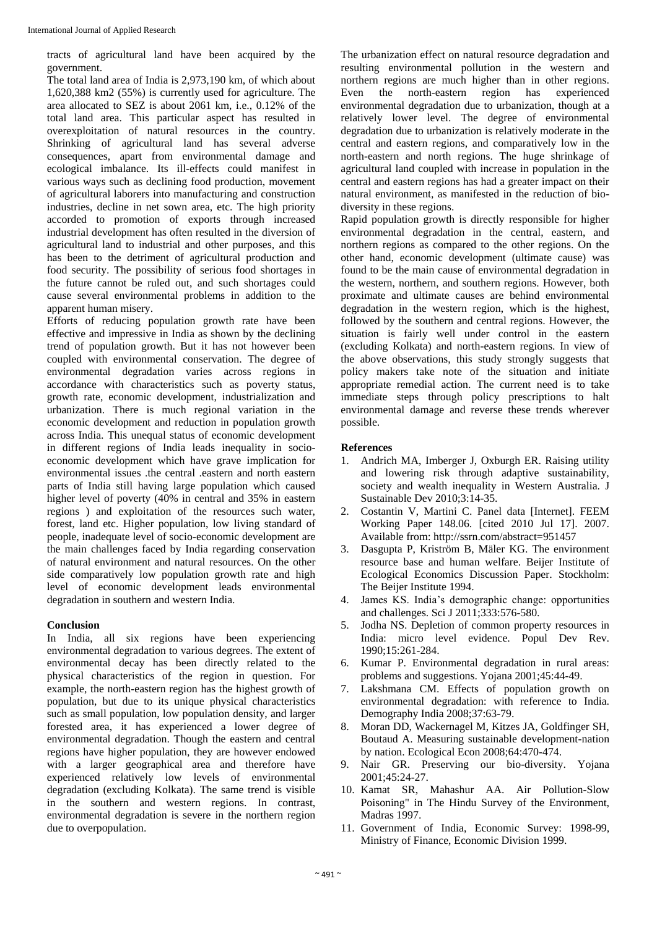tracts of agricultural land have been acquired by the government.

The total land area of India is 2,973,190 km, of which about 1,620,388 km2 (55%) is currently used for agriculture. The area allocated to SEZ is about 2061 km, i.e., 0.12% of the total land area. This particular aspect has resulted in overexploitation of natural resources in the country. Shrinking of agricultural land has several adverse consequences, apart from environmental damage and ecological imbalance. Its ill-effects could manifest in various ways such as declining food production, movement of agricultural laborers into manufacturing and construction industries, decline in net sown area, etc. The high priority accorded to promotion of exports through increased industrial development has often resulted in the diversion of agricultural land to industrial and other purposes, and this has been to the detriment of agricultural production and food security. The possibility of serious food shortages in the future cannot be ruled out, and such shortages could cause several environmental problems in addition to the apparent human misery.

Efforts of reducing population growth rate have been effective and impressive in India as shown by the declining trend of population growth. But it has not however been coupled with environmental conservation. The degree of environmental degradation varies across regions in accordance with characteristics such as poverty status, growth rate, economic development, industrialization and urbanization. There is much regional variation in the economic development and reduction in population growth across India. This unequal status of economic development in different regions of India leads inequality in socioeconomic development which have grave implication for environmental issues .the central .eastern and north eastern parts of India still having large population which caused higher level of poverty (40% in central and 35% in eastern regions ) and exploitation of the resources such water, forest, land etc. Higher population, low living standard of people, inadequate level of socio-economic development are the main challenges faced by India regarding conservation of natural environment and natural resources. On the other side comparatively low population growth rate and high level of economic development leads environmental degradation in southern and western India.

## **Conclusion**

In India, all six regions have been experiencing environmental degradation to various degrees. The extent of environmental decay has been directly related to the physical characteristics of the region in question. For example, the north-eastern region has the highest growth of population, but due to its unique physical characteristics such as small population, low population density, and larger forested area, it has experienced a lower degree of environmental degradation. Though the eastern and central regions have higher population, they are however endowed with a larger geographical area and therefore have experienced relatively low levels of environmental degradation (excluding Kolkata). The same trend is visible in the southern and western regions. In contrast, environmental degradation is severe in the northern region due to overpopulation.

The urbanization effect on natural resource degradation and resulting environmental pollution in the western and northern regions are much higher than in other regions. Even the north-eastern region has experienced environmental degradation due to urbanization, though at a relatively lower level. The degree of environmental degradation due to urbanization is relatively moderate in the central and eastern regions, and comparatively low in the north-eastern and north regions. The huge shrinkage of agricultural land coupled with increase in population in the central and eastern regions has had a greater impact on their natural environment, as manifested in the reduction of biodiversity in these regions.

Rapid population growth is directly responsible for higher environmental degradation in the central, eastern, and northern regions as compared to the other regions. On the other hand, economic development (ultimate cause) was found to be the main cause of environmental degradation in the western, northern, and southern regions. However, both proximate and ultimate causes are behind environmental degradation in the western region, which is the highest, followed by the southern and central regions. However, the situation is fairly well under control in the eastern (excluding Kolkata) and north-eastern regions. In view of the above observations, this study strongly suggests that policy makers take note of the situation and initiate appropriate remedial action. The current need is to take immediate steps through policy prescriptions to halt environmental damage and reverse these trends wherever possible.

## **References**

- 1. Andrich MA, Imberger J, Oxburgh ER. Raising utility and lowering risk through adaptive sustainability, society and wealth inequality in Western Australia. J Sustainable Dev 2010;3:14-35.
- 2. Costantin V, Martini C. Panel data [Internet]. FEEM Working Paper 148.06. [cited 2010 Jul 17]. 2007. Available from: http://ssrn.com/abstract=951457
- 3. Dasgupta P, Kriström B, Mäler KG. The environment resource base and human welfare. Beijer Institute of Ecological Economics Discussion Paper. Stockholm: The Beijer Institute 1994.
- 4. James KS. India's demographic change: opportunities and challenges. Sci J 2011;333:576-580.
- 5. Jodha NS. Depletion of common property resources in India: micro level evidence. Popul Dev Rev. 1990;15:261-284.
- 6. Kumar P. Environmental degradation in rural areas: problems and suggestions. Yojana 2001;45:44-49.
- 7. Lakshmana CM. Effects of population growth on environmental degradation: with reference to India. Demography India 2008;37:63-79.
- 8. Moran DD, Wackernagel M, Kitzes JA, Goldfinger SH, Boutaud A. Measuring sustainable development-nation by nation. Ecological Econ 2008;64:470-474.
- 9. Nair GR. Preserving our bio-diversity. Yojana 2001;45:24-27.
- 10. Kamat SR, Mahashur AA. Air Pollution-Slow Poisoning" in The Hindu Survey of the Environment, Madras 1997.
- 11. Government of India, Economic Survey: 1998-99, Ministry of Finance, Economic Division 1999.